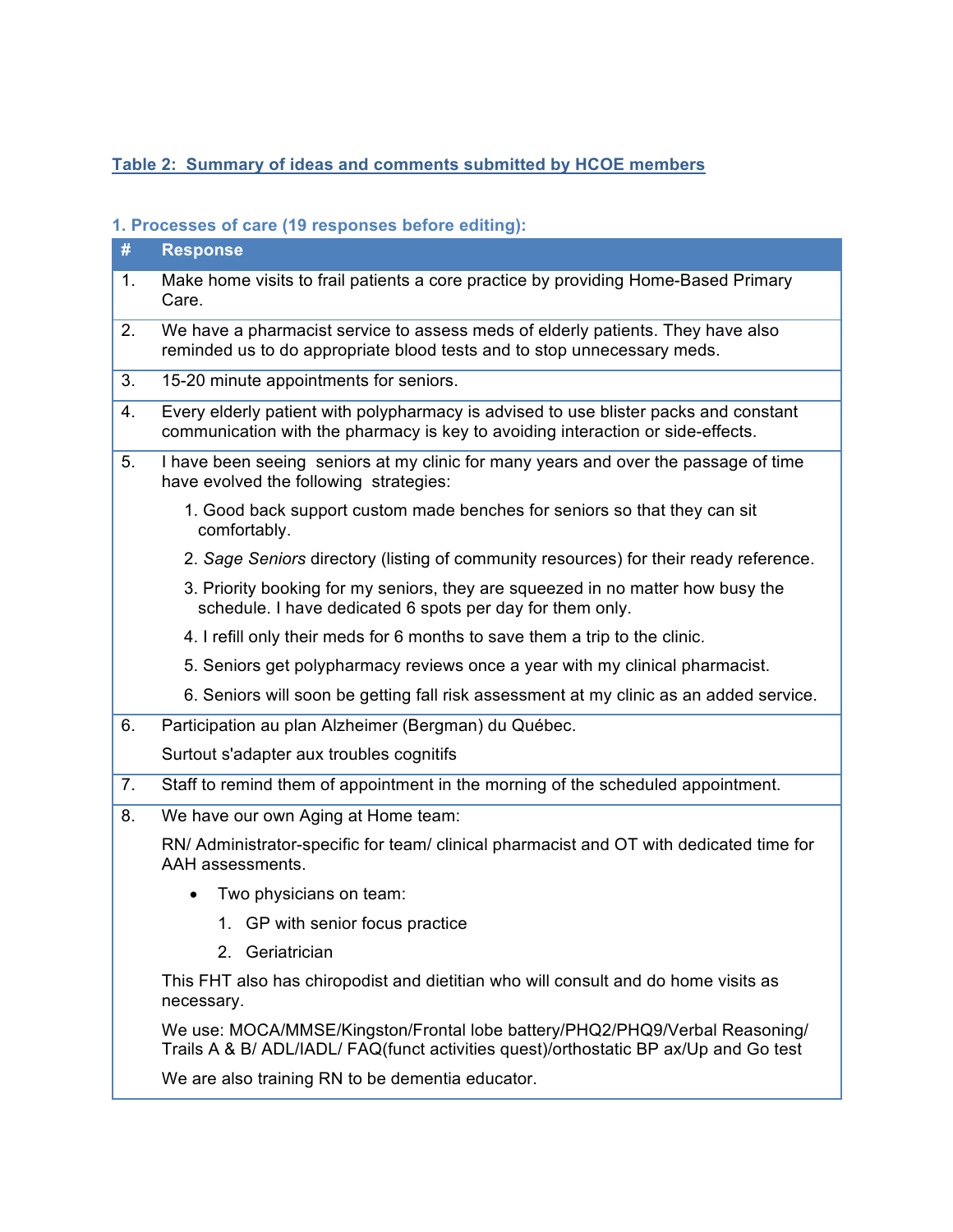## **Table 2: Summary of ideas and comments submitted by HCOE members**

### **1. Processes of care (19 responses before editing):**

| #  | <b>Response</b>                                                                                                                                                         |
|----|-------------------------------------------------------------------------------------------------------------------------------------------------------------------------|
| 1. | Make home visits to frail patients a core practice by providing Home-Based Primary<br>Care.                                                                             |
| 2. | We have a pharmacist service to assess meds of elderly patients. They have also<br>reminded us to do appropriate blood tests and to stop unnecessary meds.              |
| 3. | 15-20 minute appointments for seniors.                                                                                                                                  |
| 4. | Every elderly patient with polypharmacy is advised to use blister packs and constant<br>communication with the pharmacy is key to avoiding interaction or side-effects. |
| 5. | I have been seeing seniors at my clinic for many years and over the passage of time<br>have evolved the following strategies:                                           |
|    | 1. Good back support custom made benches for seniors so that they can sit<br>comfortably.                                                                               |
|    | 2. Sage Seniors directory (listing of community resources) for their ready reference.                                                                                   |
|    | 3. Priority booking for my seniors, they are squeezed in no matter how busy the<br>schedule. I have dedicated 6 spots per day for them only.                            |
|    | 4. I refill only their meds for 6 months to save them a trip to the clinic.                                                                                             |
|    | 5. Seniors get polypharmacy reviews once a year with my clinical pharmacist.                                                                                            |
|    | 6. Seniors will soon be getting fall risk assessment at my clinic as an added service.                                                                                  |
| 6. | Participation au plan Alzheimer (Bergman) du Québec.                                                                                                                    |
|    | Surtout s'adapter aux troubles cognitifs                                                                                                                                |
| 7. | Staff to remind them of appointment in the morning of the scheduled appointment.                                                                                        |
| 8. | We have our own Aging at Home team:                                                                                                                                     |
|    | RN/ Administrator-specific for team/ clinical pharmacist and OT with dedicated time for<br>AAH assessments.                                                             |
|    | Two physicians on team:<br>$\bullet$                                                                                                                                    |
|    | 1. GP with senior focus practice                                                                                                                                        |
|    | 2. Geriatrician                                                                                                                                                         |
|    | This FHT also has chiropodist and dietitian who will consult and do home visits as<br>necessary.                                                                        |
|    | We use: MOCA/MMSE/Kingston/Frontal lobe battery/PHQ2/PHQ9/Verbal Reasoning/<br>Trails A & B/ ADL/IADL/ FAQ(funct activities quest)/orthostatic BP ax/Up and Go test     |
|    | We are also training RN to be dementia educator.                                                                                                                        |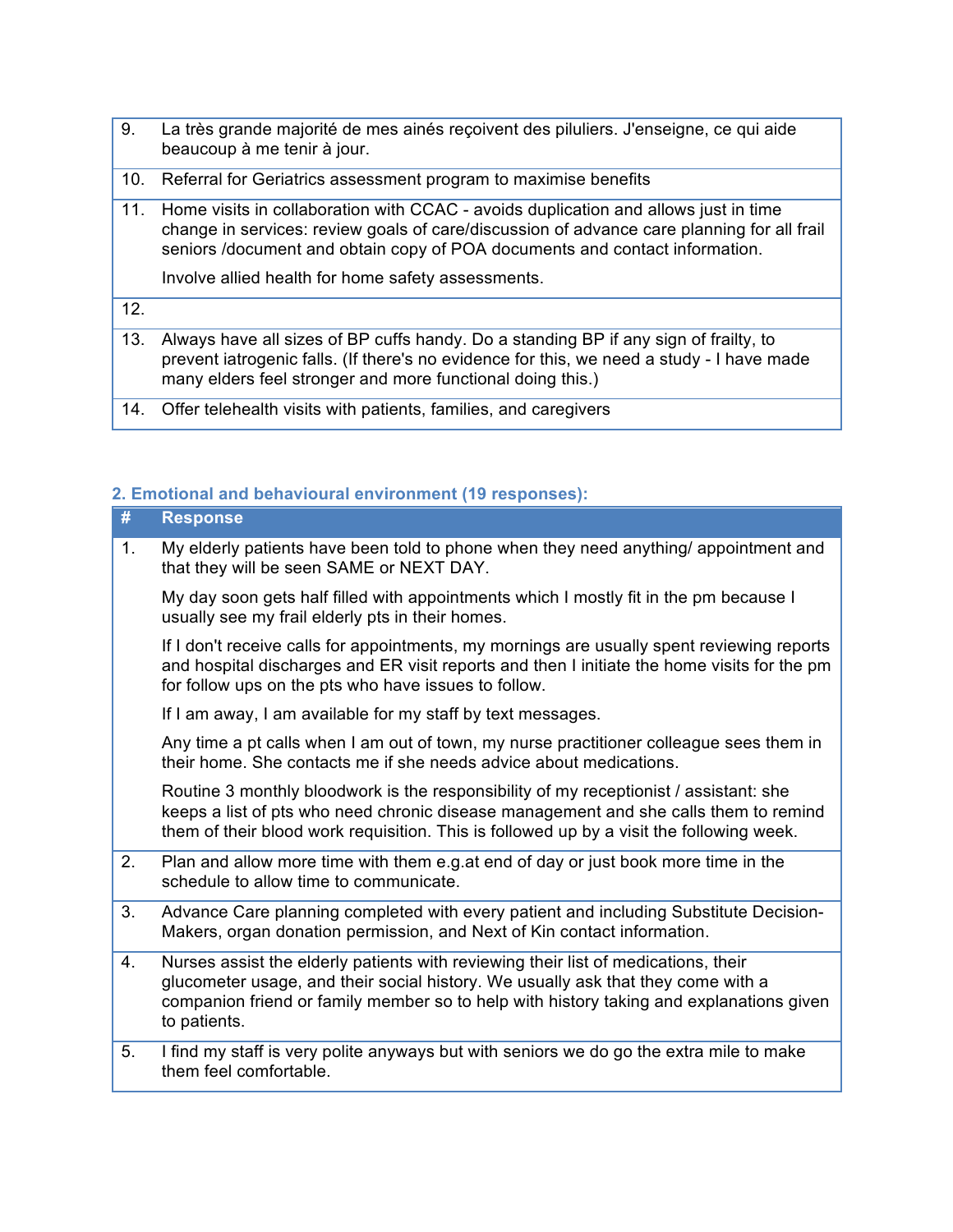- 9. La très grande majorité de mes ainés reçoivent des piluliers. J'enseigne, ce qui aide beaucoup à me tenir à jour.
- beaucoup à me tenir à jour.<br>10. Referral for Geriatrics assessment program to maximise benefits
- 11. Home visits in collaboration with CCAC avoids duplication and allows just in time change in services: review goals of care/discussion of advance care planning for all frail seniors /document and obtain copy of POA documents and contact information.

Involve allied health for home safety assessments.

12.

- 13. Always have all sizes of BP cuffs handy. Do a standing BP if any sign of frailty, to prevent iatrogenic falls. (If there's no evidence for this, we need a study - I have made many elders feel stronger and more functional doing this.)
- 14. Offer telehealth visits with patients, families, and caregivers

#### **2. Emotional and behavioural environment (19 responses):**

| #  | <b>Response</b>                                                                                                                                                                                                                                                                   |
|----|-----------------------------------------------------------------------------------------------------------------------------------------------------------------------------------------------------------------------------------------------------------------------------------|
| 1. | My elderly patients have been told to phone when they need anything/appointment and<br>that they will be seen SAME or NEXT DAY.                                                                                                                                                   |
|    | My day soon gets half filled with appointments which I mostly fit in the pm because I<br>usually see my frail elderly pts in their homes.                                                                                                                                         |
|    | If I don't receive calls for appointments, my mornings are usually spent reviewing reports<br>and hospital discharges and ER visit reports and then I initiate the home visits for the pm<br>for follow ups on the pts who have issues to follow.                                 |
|    | If I am away, I am available for my staff by text messages.                                                                                                                                                                                                                       |
|    | Any time a pt calls when I am out of town, my nurse practitioner colleague sees them in<br>their home. She contacts me if she needs advice about medications.                                                                                                                     |
|    | Routine 3 monthly bloodwork is the responsibility of my receptionist / assistant: she<br>keeps a list of pts who need chronic disease management and she calls them to remind<br>them of their blood work requisition. This is followed up by a visit the following week.         |
| 2. | Plan and allow more time with them e.g.at end of day or just book more time in the<br>schedule to allow time to communicate.                                                                                                                                                      |
| 3. | Advance Care planning completed with every patient and including Substitute Decision-<br>Makers, organ donation permission, and Next of Kin contact information.                                                                                                                  |
| 4. | Nurses assist the elderly patients with reviewing their list of medications, their<br>glucometer usage, and their social history. We usually ask that they come with a<br>companion friend or family member so to help with history taking and explanations given<br>to patients. |
| 5. | I find my staff is very polite anyways but with seniors we do go the extra mile to make<br>them feel comfortable.                                                                                                                                                                 |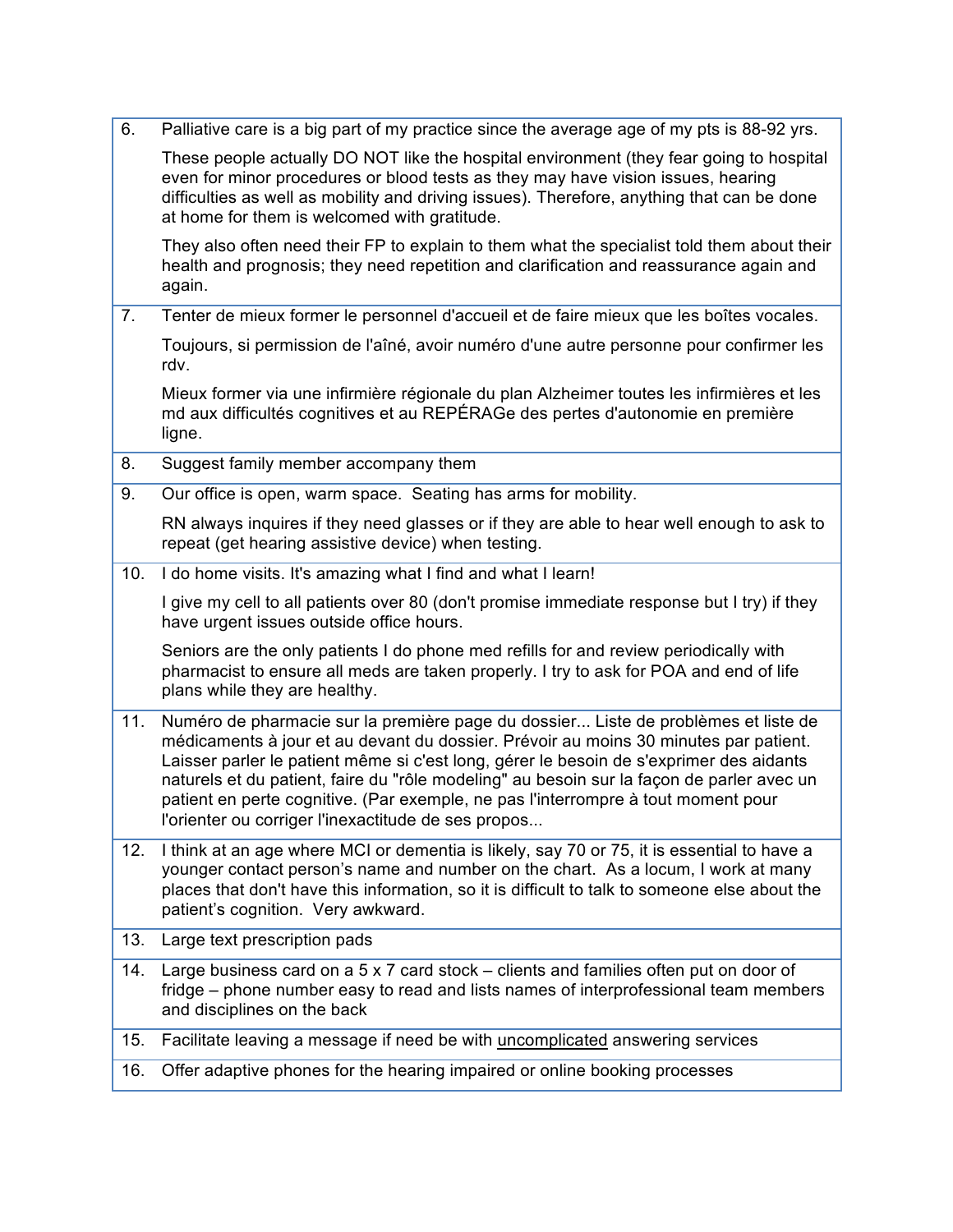| 6.  | Palliative care is a big part of my practice since the average age of my pts is 88-92 yrs.                                                                                                                                                                                                                                                                                                                                                                                                                     |
|-----|----------------------------------------------------------------------------------------------------------------------------------------------------------------------------------------------------------------------------------------------------------------------------------------------------------------------------------------------------------------------------------------------------------------------------------------------------------------------------------------------------------------|
|     | These people actually DO NOT like the hospital environment (they fear going to hospital<br>even for minor procedures or blood tests as they may have vision issues, hearing<br>difficulties as well as mobility and driving issues). Therefore, anything that can be done<br>at home for them is welcomed with gratitude.                                                                                                                                                                                      |
|     | They also often need their FP to explain to them what the specialist told them about their<br>health and prognosis; they need repetition and clarification and reassurance again and<br>again.                                                                                                                                                                                                                                                                                                                 |
| 7.  | Tenter de mieux former le personnel d'accueil et de faire mieux que les boîtes vocales.                                                                                                                                                                                                                                                                                                                                                                                                                        |
|     | Toujours, si permission de l'aîné, avoir numéro d'une autre personne pour confirmer les<br>rdv.                                                                                                                                                                                                                                                                                                                                                                                                                |
|     | Mieux former via une infirmière régionale du plan Alzheimer toutes les infirmières et les<br>md aux difficultés cognitives et au REPÉRAGe des pertes d'autonomie en première<br>ligne.                                                                                                                                                                                                                                                                                                                         |
| 8.  | Suggest family member accompany them                                                                                                                                                                                                                                                                                                                                                                                                                                                                           |
| 9.  | Our office is open, warm space. Seating has arms for mobility.                                                                                                                                                                                                                                                                                                                                                                                                                                                 |
|     | RN always inquires if they need glasses or if they are able to hear well enough to ask to<br>repeat (get hearing assistive device) when testing.                                                                                                                                                                                                                                                                                                                                                               |
| 10. | I do home visits. It's amazing what I find and what I learn!                                                                                                                                                                                                                                                                                                                                                                                                                                                   |
|     | I give my cell to all patients over 80 (don't promise immediate response but I try) if they<br>have urgent issues outside office hours.                                                                                                                                                                                                                                                                                                                                                                        |
|     | Seniors are the only patients I do phone med refills for and review periodically with<br>pharmacist to ensure all meds are taken properly. I try to ask for POA and end of life<br>plans while they are healthy.                                                                                                                                                                                                                                                                                               |
| 11. | Numéro de pharmacie sur la première page du dossier Liste de problèmes et liste de<br>médicaments à jour et au devant du dossier. Prévoir au moins 30 minutes par patient.<br>Laisser parler le patient même si c'est long, gérer le besoin de s'exprimer des aidants<br>naturels et du patient, faire du "rôle modeling" au besoin sur la façon de parler avec un<br>patient en perte cognitive. (Par exemple, ne pas l'interrompre à tout moment pour<br>l'orienter ou corriger l'inexactitude de ses propos |
| 12. | I think at an age where MCI or dementia is likely, say 70 or 75, it is essential to have a<br>younger contact person's name and number on the chart. As a locum, I work at many<br>places that don't have this information, so it is difficult to talk to someone else about the<br>patient's cognition. Very awkward.                                                                                                                                                                                         |
| 13. | Large text prescription pads                                                                                                                                                                                                                                                                                                                                                                                                                                                                                   |
| 14. | Large business card on a $5 \times 7$ card stock – clients and families often put on door of<br>fridge – phone number easy to read and lists names of interprofessional team members<br>and disciplines on the back                                                                                                                                                                                                                                                                                            |
| 15. | Facilitate leaving a message if need be with uncomplicated answering services                                                                                                                                                                                                                                                                                                                                                                                                                                  |
| 16. | Offer adaptive phones for the hearing impaired or online booking processes                                                                                                                                                                                                                                                                                                                                                                                                                                     |
|     |                                                                                                                                                                                                                                                                                                                                                                                                                                                                                                                |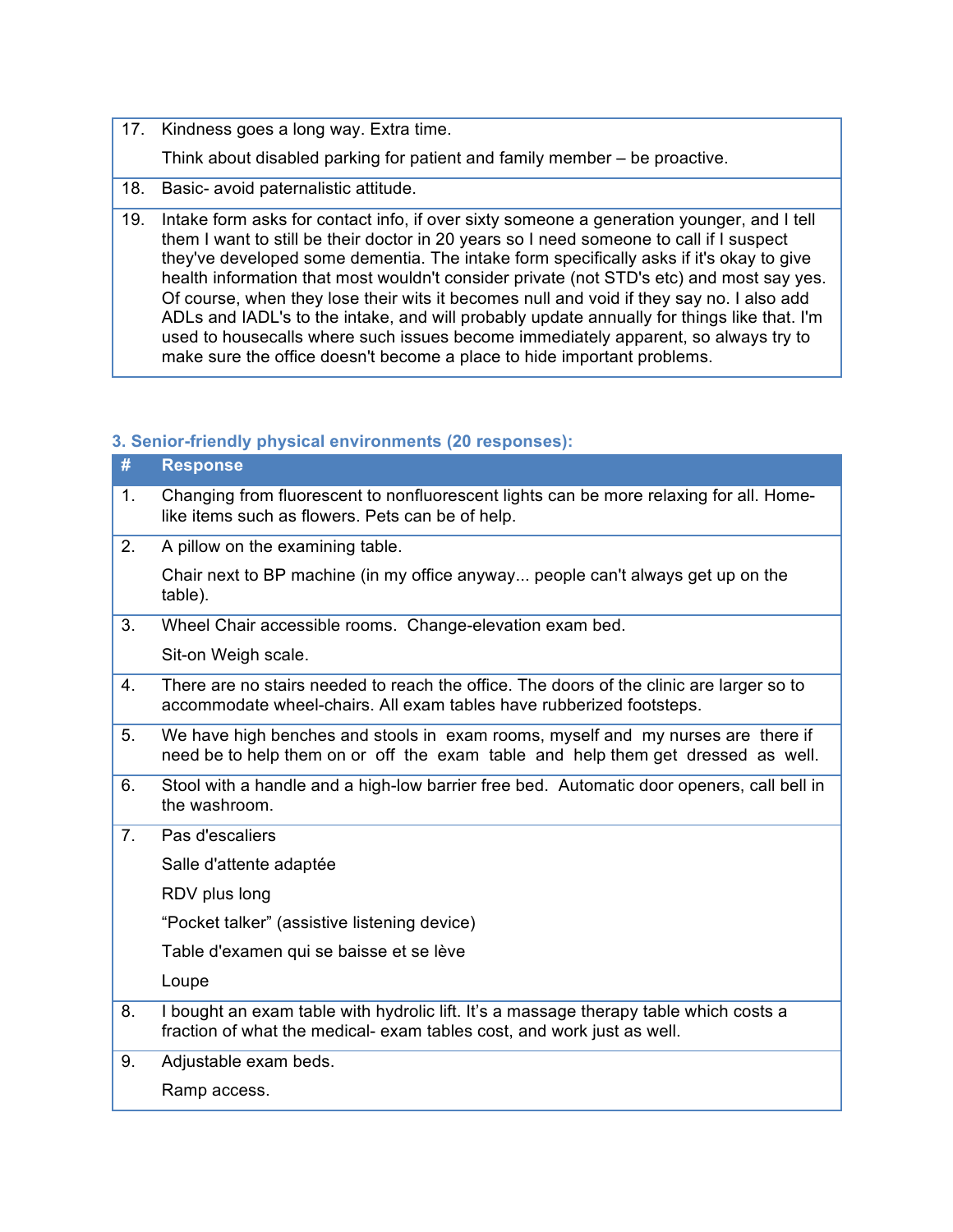17. Kindness goes a long way. Extra time.

Think about disabled parking for patient and family member – be proactive.

- 18. Basic- avoid paternalistic attitude.
- health information that most wouldn't consider private (not STD's etc) and most say yes. Of course, when they lose their wits it becomes null and void if they say no. I also add ADLs and IADL's to the intake, and will probably update annually for things like that. I'm used to housecalls where such issues become immediately apparent, so always try to 19. Intake form asks for contact info, if over sixty someone a generation younger, and I tell them I want to still be their doctor in 20 years so I need someone to call if I suspect they've developed some dementia. The intake form specifically asks if it's okay to give make sure the office doesn't become a place to hide important problems.

## **3. Senior-friendly physical environments (20 responses):**

| <b>Response</b>                                                                                                                                                      |
|----------------------------------------------------------------------------------------------------------------------------------------------------------------------|
| Changing from fluorescent to nonfluorescent lights can be more relaxing for all. Home-<br>like items such as flowers. Pets can be of help.                           |
| A pillow on the examining table.                                                                                                                                     |
| Chair next to BP machine (in my office anyway people can't always get up on the<br>table).                                                                           |
| Wheel Chair accessible rooms. Change-elevation exam bed.                                                                                                             |
| Sit-on Weigh scale.                                                                                                                                                  |
| There are no stairs needed to reach the office. The doors of the clinic are larger so to<br>accommodate wheel-chairs. All exam tables have rubberized footsteps.     |
| We have high benches and stools in exam rooms, myself and my nurses are there if<br>need be to help them on or off the exam table and help them get dressed as well. |
| Stool with a handle and a high-low barrier free bed. Automatic door openers, call bell in<br>the washroom.                                                           |
| Pas d'escaliers                                                                                                                                                      |
| Salle d'attente adaptée                                                                                                                                              |
| RDV plus long                                                                                                                                                        |
| "Pocket talker" (assistive listening device)                                                                                                                         |
| Table d'examen qui se baisse et se lève                                                                                                                              |
| Loupe                                                                                                                                                                |
| I bought an exam table with hydrolic lift. It's a massage therapy table which costs a<br>fraction of what the medical- exam tables cost, and work just as well.      |
| Adjustable exam beds.                                                                                                                                                |
| Ramp access.                                                                                                                                                         |
|                                                                                                                                                                      |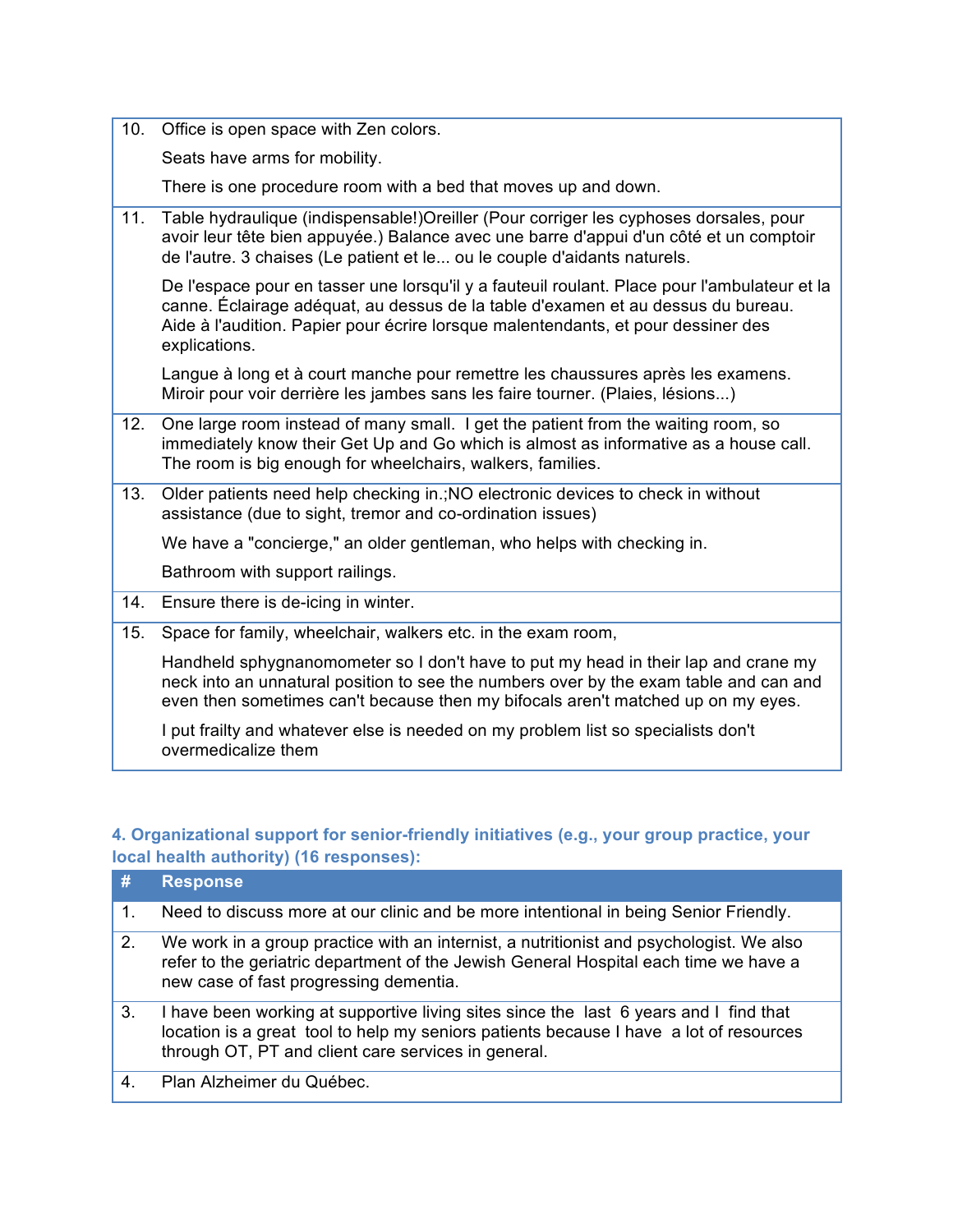10. Office is open space with Zen colors.

Seats have arms for mobility.

There is one procedure room with a bed that moves up and down.

 11. Table hydraulique (indispensable!)Oreiller (Pour corriger les cyphoses dorsales, pour avoir leur tête bien appuyée.) Balance avec une barre d'appui d'un côté et un comptoir de l'autre. 3 chaises (Le patient et le... ou le couple d'aidants naturels.

 De l'espace pour en tasser une lorsqu'il y a fauteuil roulant. Place pour l'ambulateur et la canne. Éclairage adéquat, au dessus de la table d'examen et au dessus du bureau. Aide à l'audition. Papier pour écrire lorsque malentendants, et pour dessiner des explications.

 Langue à long et à court manche pour remettre les chaussures après les examens. Miroir pour voir derrière les jambes sans les faire tourner. (Plaies, lésions...)

- 12. One large room instead of many small. I get the patient from the waiting room, so immediately know their Get Up and Go which is almost as informative as a house call. The room is big enough for wheelchairs, walkers, families.
- 13. Older patients need help checking in.;NO electronic devices to check in without assistance (due to sight, tremor and co-ordination issues)

We have a "concierge," an older gentleman, who helps with checking in.

Bathroom with support railings.

- 14. Ensure there is de-icing in winter.
- 15. Space for family, wheelchair, walkers etc. in the exam room,

 Handheld sphygnanomometer so I don't have to put my head in their lap and crane my neck into an unnatural position to see the numbers over by the exam table and can and even then sometimes can't because then my bifocals aren't matched up on my eyes.

 overmedicalize them I put frailty and whatever else is needed on my problem list so specialists don't

# **4. Organizational support for senior-friendly initiatives (e.g., your group practice, your local health authority) (16 responses):**

| #       | <b>Response</b>                                                                                                                                                                                                                        |
|---------|----------------------------------------------------------------------------------------------------------------------------------------------------------------------------------------------------------------------------------------|
| $1_{-}$ | Need to discuss more at our clinic and be more intentional in being Senior Friendly.                                                                                                                                                   |
| 2.      | We work in a group practice with an internist, a nutritionist and psychologist. We also<br>refer to the geriatric department of the Jewish General Hospital each time we have a<br>new case of fast progressing dementia.              |
| 3.      | I have been working at supportive living sites since the last 6 years and I find that<br>location is a great tool to help my seniors patients because I have a lot of resources<br>through OT, PT and client care services in general. |
| 4.      | Plan Alzheimer du Québec.                                                                                                                                                                                                              |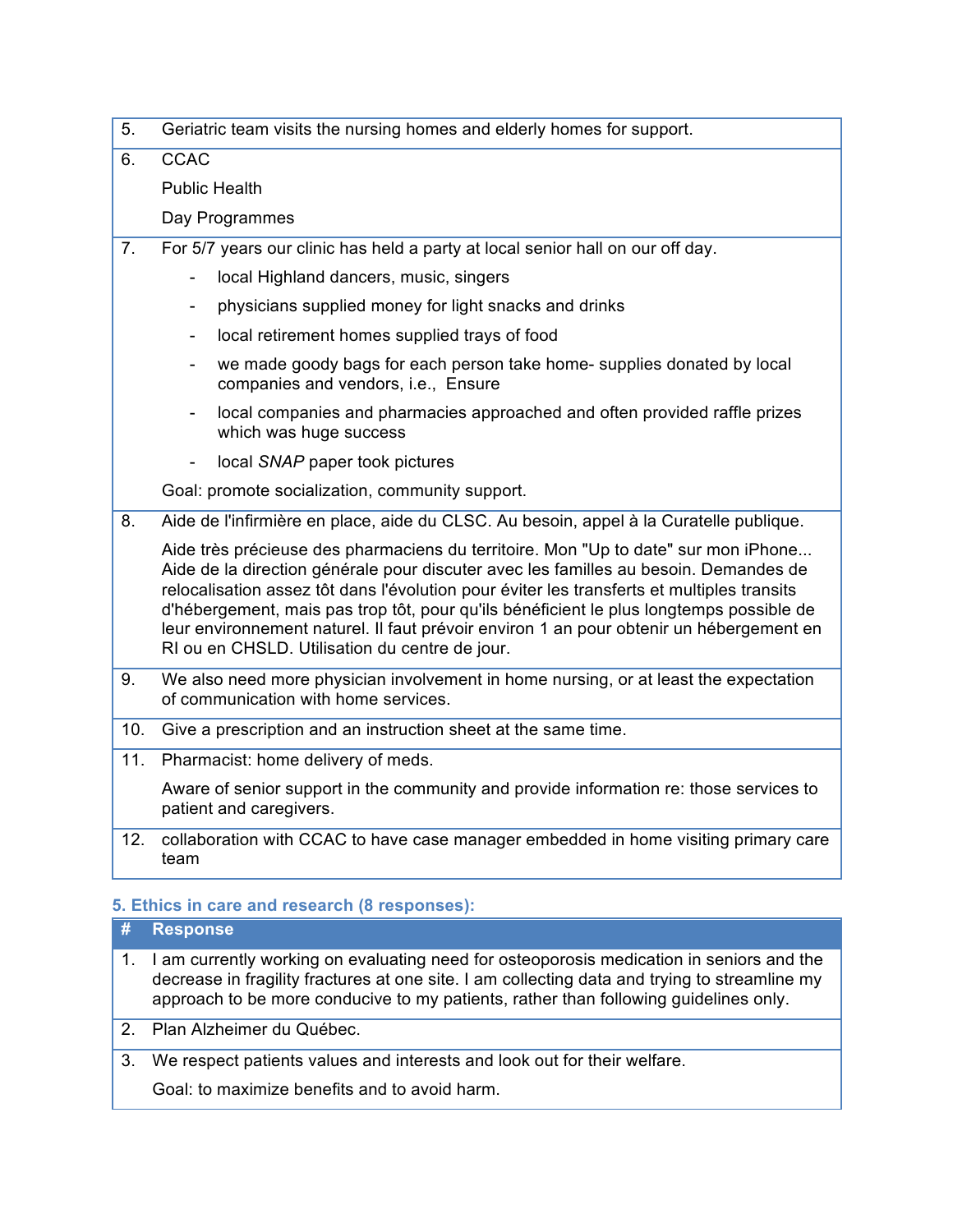| 5.             | Geriatric team visits the nursing homes and elderly homes for support.                                                                                                                                                                                                                                                                                                                                                                                                                                           |
|----------------|------------------------------------------------------------------------------------------------------------------------------------------------------------------------------------------------------------------------------------------------------------------------------------------------------------------------------------------------------------------------------------------------------------------------------------------------------------------------------------------------------------------|
| 6.             | <b>CCAC</b>                                                                                                                                                                                                                                                                                                                                                                                                                                                                                                      |
|                | <b>Public Health</b>                                                                                                                                                                                                                                                                                                                                                                                                                                                                                             |
|                | Day Programmes                                                                                                                                                                                                                                                                                                                                                                                                                                                                                                   |
| 7 <sub>1</sub> | For 5/7 years our clinic has held a party at local senior hall on our off day.                                                                                                                                                                                                                                                                                                                                                                                                                                   |
|                | local Highland dancers, music, singers<br>$\overline{\phantom{0}}$                                                                                                                                                                                                                                                                                                                                                                                                                                               |
|                | physicians supplied money for light snacks and drinks<br>۰                                                                                                                                                                                                                                                                                                                                                                                                                                                       |
|                | local retirement homes supplied trays of food<br>۰                                                                                                                                                                                                                                                                                                                                                                                                                                                               |
|                | we made goody bags for each person take home- supplies donated by local<br>companies and vendors, i.e., Ensure                                                                                                                                                                                                                                                                                                                                                                                                   |
|                | local companies and pharmacies approached and often provided raffle prizes<br>which was huge success                                                                                                                                                                                                                                                                                                                                                                                                             |
|                | local SNAP paper took pictures                                                                                                                                                                                                                                                                                                                                                                                                                                                                                   |
|                | Goal: promote socialization, community support.                                                                                                                                                                                                                                                                                                                                                                                                                                                                  |
| 8.             | Aide de l'infirmière en place, aide du CLSC. Au besoin, appel à la Curatelle publique.                                                                                                                                                                                                                                                                                                                                                                                                                           |
|                | Aide très précieuse des pharmaciens du territoire. Mon "Up to date" sur mon iPhone<br>Aide de la direction générale pour discuter avec les familles au besoin. Demandes de<br>relocalisation assez tôt dans l'évolution pour éviter les transferts et multiples transits<br>d'hébergement, mais pas trop tôt, pour qu'ils bénéficient le plus longtemps possible de<br>leur environnement naturel. Il faut prévoir environ 1 an pour obtenir un hébergement en<br>RI ou en CHSLD. Utilisation du centre de jour. |
| 9.             | We also need more physician involvement in home nursing, or at least the expectation<br>of communication with home services.                                                                                                                                                                                                                                                                                                                                                                                     |
| 10.            | Give a prescription and an instruction sheet at the same time.                                                                                                                                                                                                                                                                                                                                                                                                                                                   |
| 11.            | Pharmacist: home delivery of meds.                                                                                                                                                                                                                                                                                                                                                                                                                                                                               |
|                | Aware of senior support in the community and provide information re: those services to<br>patient and caregivers.                                                                                                                                                                                                                                                                                                                                                                                                |
|                | 10 a ellebration with COAO to boys soos monography and added in bones wisiting without                                                                                                                                                                                                                                                                                                                                                                                                                           |

 12. collaboration with CCAC to have case manager embedded in home visiting primary care team

#### **5. Ethics in care and research (8 responses):**

# **# Response**

- approach to be more conducive to my patients, rather than following guidelines only. 1. I am currently working on evaluating need for osteoporosis medication in seniors and the decrease in fragility fractures at one site. I am collecting data and trying to streamline my
- 2. Plan Alzheimer du Québec.
- 3. We respect patients values and interests and look out for their welfare.

Goal: to maximize benefits and to avoid harm.